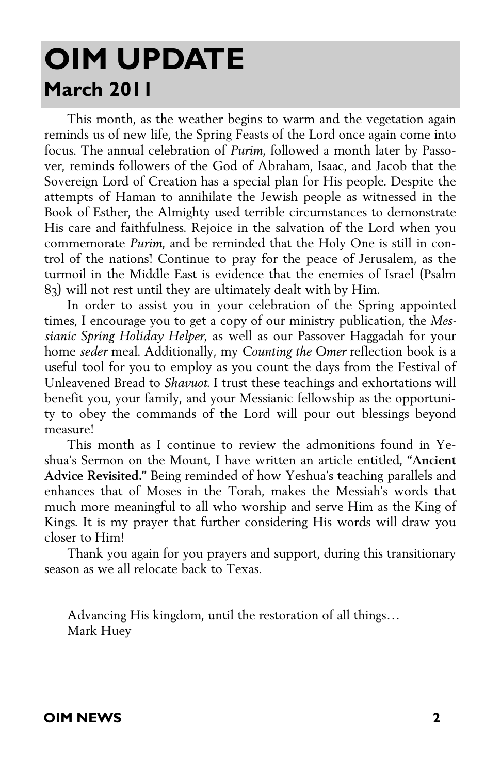# **OIM UPDATE March 2011**

This month, as the weather begins to warm and the vegetation again reminds us of new life, the Spring Feasts of the Lord once again come into focus. The annual celebration of *Purim*, followed a month later by Passover, reminds followers of the God of Abraham, Isaac, and Jacob that the Sovereign Lord of Creation has a special plan for His people. Despite the attempts of Haman to annihilate the Jewish people as witnessed in the Book of Esther, the Almighty used terrible circumstances to demonstrate His care and faithfulness. Rejoice in the salvation of the Lord when you commemorate *Purim*, and be reminded that the Holy One is still in control of the nations! Continue to pray for the peace of Jerusalem, as the turmoil in the Middle East is evidence that the enemies of Israel (Psalm 83) will not rest until they are ultimately dealt with by Him.

In order to assist you in your celebration of the Spring appointed times, I encourage you to get a copy of our ministry publication, the *Messianic Spring Holiday Helper*, as well as our Passover Haggadah for your home *seder* meal. Additionally, my *Counting the Omer* reflection book is a useful tool for you to employ as you count the days from the Festival of Unleavened Bread to *Shavuot*. I trust these teachings and exhortations will benefit you, your family, and your Messianic fellowship as the opportunity to obey the commands of the Lord will pour out blessings beyond measure!

This month as I continue to review the admonitions found in Yeshua's Sermon on the Mount, I have written an article entitled, **"Ancient Advice Revisited."** Being reminded of how Yeshua's teaching parallels and enhances that of Moses in the Torah, makes the Messiah's words that much more meaningful to all who worship and serve Him as the King of Kings. It is my prayer that further considering His words will draw you closer to Him!

Thank you again for you prayers and support, during this transitionary season as we all relocate back to Texas.

Advancing His kingdom, until the restoration of all things… Mark Huey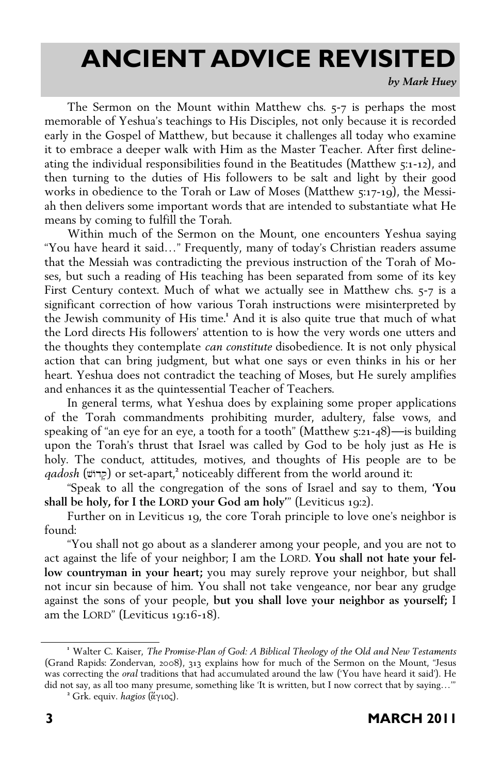## **ANCIENT ADVICE REVISITED**

*by Mark Huey*

The Sermon on the Mount within Matthew chs. 5-7 is perhaps the most memorable of Yeshua's teachings to His Disciples, not only because it is recorded early in the Gospel of Matthew, but because it challenges all today who examine it to embrace a deeper walk with Him as the Master Teacher. After first delineating the individual responsibilities found in the Beatitudes (Matthew 5:1-12), and then turning to the duties of His followers to be salt and light by their good works in obedience to the Torah or Law of Moses (Matthew 5:17-19), the Messiah then delivers some important words that are intended to substantiate what He means by coming to fulfill the Torah.

Within much of the Sermon on the Mount, one encounters Yeshua saying "You have heard it said…" Frequently, many of today's Christian readers assume that the Messiah was contradicting the previous instruction of the Torah of Moses, but such a reading of His teaching has been separated from some of its key First Century context. Much of what we actually see in Matthew chs. 5-7 is a significant correction of how various Torah instructions were misinterpreted by the Jewish community of His time.<sup>1</sup> And it is also quite true that much of what the Lord directs His followers' attention to is how the very words one utters and the thoughts they contemplate *can constitute* disobedience. It is not only physical action that can bring judgment, but what one says or even thinks in his or her heart. Yeshua does not contradict the teaching of Moses, but He surely amplifies and enhances it as the quintessential Teacher of Teachers.

In general terms, what Yeshua does by explaining some proper applications of the Torah commandments prohibiting murder, adultery, false vows, and speaking of "an eye for an eye, a tooth for a tooth" (Matthew  $5:21-48$ )—is building upon the Torah's thrust that Israel was called by God to be holy just as He is holy. The conduct, attitudes, motives, and thoughts of His people are to be *qadosh* (vAdq ') or set-apart,**<sup>2</sup>** noticeably different from the world around it:

"Speak to all the congregation of the sons of Israel and say to them, **'You shall be holy, for I the LORD your God am holy'**" (Leviticus 19:2).

Further on in Leviticus 19, the core Torah principle to love one's neighbor is found:

"You shall not go about as a slanderer among your people, and you are not to act against the life of your neighbor; I am the LORD. **You shall not hate your fellow countryman in your heart;** you may surely reprove your neighbor, but shall not incur sin because of him. You shall not take vengeance, nor bear any grudge against the sons of your people, **but you shall love your neighbor as yourself;** I am the LORD" (Leviticus 19:16-18).

**<sup>1</sup>** Walter C. Kaiser, *The Promise-Plan of God: A Biblical Theology of the Old and New Testaments* (Grand Rapids: Zondervan, 2008), 313 explains how for much of the Sermon on the Mount, "Jesus was correcting the *oral* traditions that had accumulated around the law ('You have heard it said'). He did not say, as all too many presume, something like 'It is written, but I now correct that by saying…'"

<sup>&</sup>lt;sup>2</sup> Grk. equiv. *hagios* (άγιος).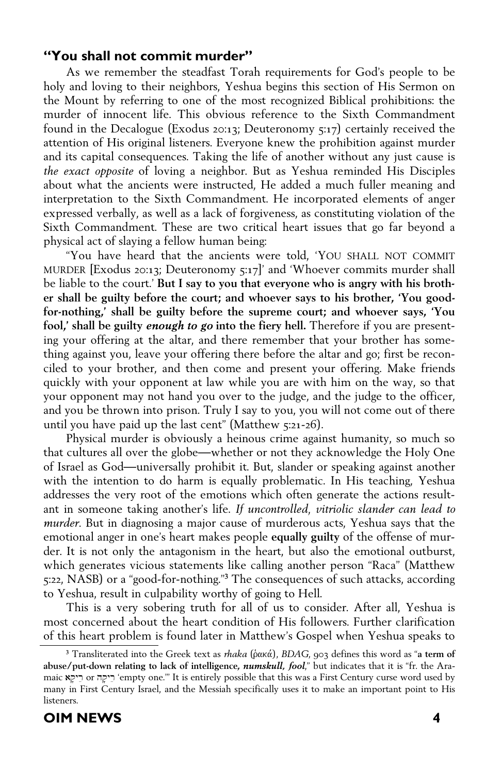#### **"You shall not commit murder"**

As we remember the steadfast Torah requirements for God's people to be holy and loving to their neighbors, Yeshua begins this section of His Sermon on the Mount by referring to one of the most recognized Biblical prohibitions: the murder of innocent life. This obvious reference to the Sixth Commandment found in the Decalogue (Exodus 20:13; Deuteronomy 5:17) certainly received the attention of His original listeners. Everyone knew the prohibition against murder and its capital consequences. Taking the life of another without any just cause is *the exact opposite* of loving a neighbor. But as Yeshua reminded His Disciples about what the ancients were instructed, He added a much fuller meaning and interpretation to the Sixth Commandment. He incorporated elements of anger expressed verbally, as well as a lack of forgiveness, as constituting violation of the Sixth Commandment. These are two critical heart issues that go far beyond a physical act of slaying a fellow human being:

"You have heard that the ancients were told, 'YOU SHALL NOT COMMIT MURDER [Exodus 20:13; Deuteronomy 5:17]' and 'Whoever commits murder shall be liable to the court.' **But I say to you that everyone who is angry with his brother shall be guilty before the court; and whoever says to his brother, 'You goodfor-nothing,' shall be guilty before the supreme court; and whoever says, 'You fool,' shall be guilty** *enough to go* **into the fiery hell.** Therefore if you are presenting your offering at the altar, and there remember that your brother has something against you, leave your offering there before the altar and go; first be reconciled to your brother, and then come and present your offering. Make friends quickly with your opponent at law while you are with him on the way, so that your opponent may not hand you over to the judge, and the judge to the officer, and you be thrown into prison. Truly I say to you, you will not come out of there until you have paid up the last cent" (Matthew 5:21-26).

Physical murder is obviously a heinous crime against humanity, so much so that cultures all over the globe—whether or not they acknowledge the Holy One of Israel as God—universally prohibit it. But, slander or speaking against another with the intention to do harm is equally problematic. In His teaching, Yeshua addresses the very root of the emotions which often generate the actions resultant in someone taking another's life. *If uncontrolled, vitriolic slander can lead to murder.* But in diagnosing a major cause of murderous acts, Yeshua says that the emotional anger in one's heart makes people **equally guilty** of the offense of murder. It is not only the antagonism in the heart, but also the emotional outburst, which generates vicious statements like calling another person "Raca" (Matthew 5:22, NASB) or a "good-for-nothing."**<sup>3</sup>** The consequences of such attacks, according to Yeshua, result in culpability worthy of going to Hell.

This is a very sobering truth for all of us to consider. After all, Yeshua is most concerned about the heart condition of His followers. Further clarification of this heart problem is found later in Matthew's Gospel when Yeshua speaks to

<sup>&</sup>lt;sup>3</sup> Transliterated into the Greek text as *rhaka* (ρακά), *BDAG*, 903 defines this word as "a term of **abuse/put-down relating to lack of intelligence,** *numskull, fool*," but indicates that it is "fr. the Aramaic aq'yre or hq'yre 'empty one.'" It is entirely possible that this was a First Century curse word used by many in First Century Israel, and the Messiah specifically uses it to make an important point to His listeners.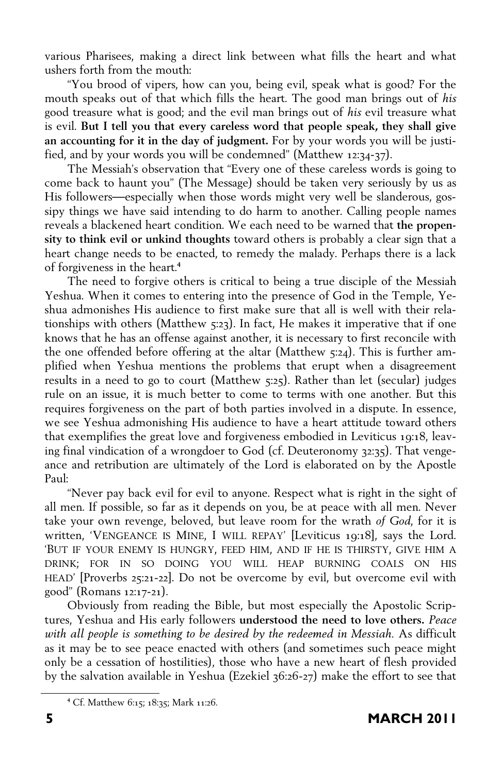various Pharisees, making a direct link between what fills the heart and what ushers forth from the mouth:

"You brood of vipers, how can you, being evil, speak what is good? For the mouth speaks out of that which fills the heart. The good man brings out of *his*  good treasure what is good; and the evil man brings out of *his* evil treasure what is evil. **But I tell you that every careless word that people speak, they shall give an accounting for it in the day of judgment.** For by your words you will be justified, and by your words you will be condemned" (Matthew 12:34-37).

The Messiah's observation that "Every one of these careless words is going to come back to haunt you" (The Message) should be taken very seriously by us as His followers—especially when those words might very well be slanderous, gossipy things we have said intending to do harm to another. Calling people names reveals a blackened heart condition. We each need to be warned that **the propensity to think evil or unkind thoughts** toward others is probably a clear sign that a heart change needs to be enacted, to remedy the malady. Perhaps there is a lack of forgiveness in the heart.**<sup>4</sup>**

The need to forgive others is critical to being a true disciple of the Messiah Yeshua. When it comes to entering into the presence of God in the Temple, Yeshua admonishes His audience to first make sure that all is well with their relationships with others (Matthew 5:23). In fact, He makes it imperative that if one knows that he has an offense against another, it is necessary to first reconcile with the one offended before offering at the altar (Matthew  $5:24$ ). This is further amplified when Yeshua mentions the problems that erupt when a disagreement results in a need to go to court (Matthew 5:25). Rather than let (secular) judges rule on an issue, it is much better to come to terms with one another. But this requires forgiveness on the part of both parties involved in a dispute. In essence, we see Yeshua admonishing His audience to have a heart attitude toward others that exemplifies the great love and forgiveness embodied in Leviticus 19:18, leaving final vindication of a wrongdoer to God (cf. Deuteronomy 32:35). That vengeance and retribution are ultimately of the Lord is elaborated on by the Apostle Paul:

"Never pay back evil for evil to anyone. Respect what is right in the sight of all men. If possible, so far as it depends on you, be at peace with all men. Never take your own revenge, beloved, but leave room for the wrath *of God*, for it is written, 'VENGEANCE IS MINE, I WILL REPAY' [Leviticus 19:18], says the Lord. 'BUT IF YOUR ENEMY IS HUNGRY, FEED HIM, AND IF HE IS THIRSTY, GIVE HIM A DRINK; FOR IN SO DOING YOU WILL HEAP BURNING COALS ON HIS HEAD' [Proverbs 25:21-22]. Do not be overcome by evil, but overcome evil with good" (Romans 12:17-21).

Obviously from reading the Bible, but most especially the Apostolic Scriptures, Yeshua and His early followers **understood the need to love others.** *Peace with all people is something to be desired by the redeemed in Messiah.* As difficult as it may be to see peace enacted with others (and sometimes such peace might only be a cessation of hostilities), those who have a new heart of flesh provided by the salvation available in Yeshua (Ezekiel 36:26-27) make the effort to see that

**<sup>4</sup>** Cf. Matthew 6:15; 18:35; Mark 11:26.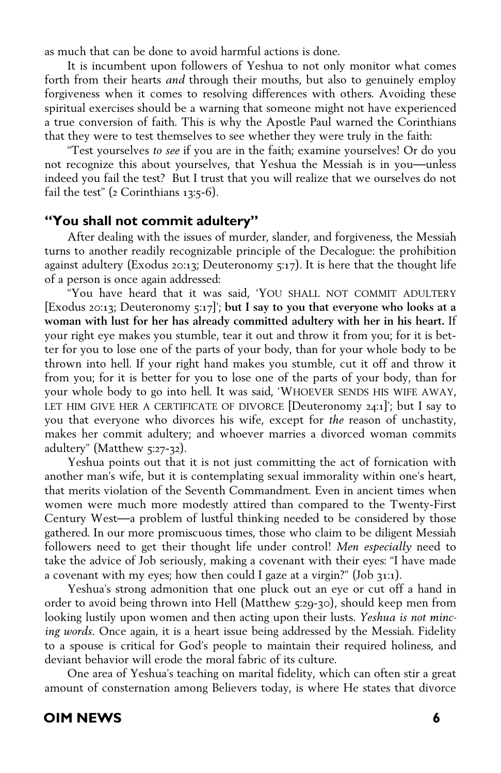as much that can be done to avoid harmful actions is done.

It is incumbent upon followers of Yeshua to not only monitor what comes forth from their hearts *and* through their mouths, but also to genuinely employ forgiveness when it comes to resolving differences with others. Avoiding these spiritual exercises should be a warning that someone might not have experienced a true conversion of faith. This is why the Apostle Paul warned the Corinthians that they were to test themselves to see whether they were truly in the faith:

"Test yourselves *to see* if you are in the faith; examine yourselves! Or do you not recognize this about yourselves, that Yeshua the Messiah is in you—unless indeed you fail the test? But I trust that you will realize that we ourselves do not fail the test" ( $2$  Corinthians 13:5-6).

#### **"You shall not commit adultery"**

After dealing with the issues of murder, slander, and forgiveness, the Messiah turns to another readily recognizable principle of the Decalogue: the prohibition against adultery (Exodus 20:13; Deuteronomy 5:17). It is here that the thought life of a person is once again addressed:

"You have heard that it was said, 'YOU SHALL NOT COMMIT ADULTERY [Exodus 20:13; Deuteronomy 5:17]'; **but I say to you that everyone who looks at a woman with lust for her has already committed adultery with her in his heart.** If your right eye makes you stumble, tear it out and throw it from you; for it is better for you to lose one of the parts of your body, than for your whole body to be thrown into hell. If your right hand makes you stumble, cut it off and throw it from you; for it is better for you to lose one of the parts of your body, than for your whole body to go into hell. It was said, 'WHOEVER SENDS HIS WIFE AWAY, LET HIM GIVE HER A CERTIFICATE OF DIVORCE [Deuteronomy 24:1]'; but I say to you that everyone who divorces his wife, except for *the* reason of unchastity, makes her commit adultery; and whoever marries a divorced woman commits adultery" (Matthew 5:27-32).

Yeshua points out that it is not just committing the act of fornication with another man's wife, but it is contemplating sexual immorality within one's heart, that merits violation of the Seventh Commandment. Even in ancient times when women were much more modestly attired than compared to the Twenty-First Century West—a problem of lustful thinking needed to be considered by those gathered. In our more promiscuous times, those who claim to be diligent Messiah followers need to get their thought life under control! *Men especially* need to take the advice of Job seriously, making a covenant with their eyes: "I have made a covenant with my eyes; how then could I gaze at a virgin?" (Job 31:1).

Yeshua's strong admonition that one pluck out an eye or cut off a hand in order to avoid being thrown into Hell (Matthew 5:29-30), should keep men from looking lustily upon women and then acting upon their lusts. *Yeshua is not mincing words.* Once again, it is a heart issue being addressed by the Messiah. Fidelity to a spouse is critical for God's people to maintain their required holiness, and deviant behavior will erode the moral fabric of its culture.

One area of Yeshua's teaching on marital fidelity, which can often stir a great amount of consternation among Believers today, is where He states that divorce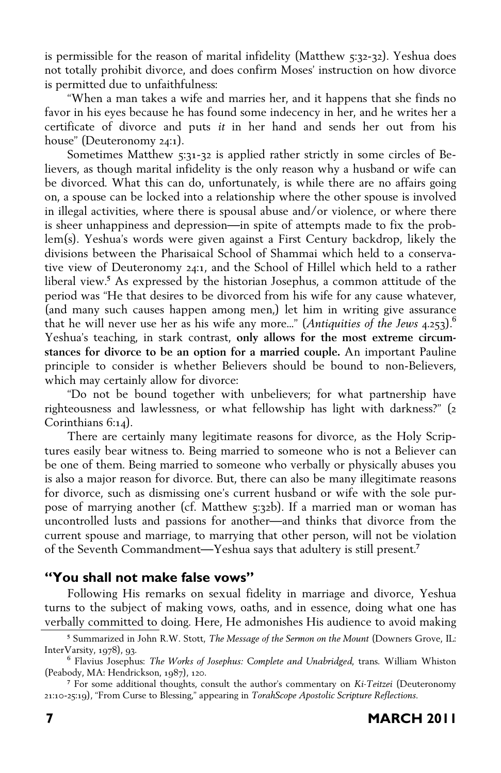is permissible for the reason of marital infidelity (Matthew 5:32-32). Yeshua does not totally prohibit divorce, and does confirm Moses' instruction on how divorce is permitted due to unfaithfulness:

"When a man takes a wife and marries her, and it happens that she finds no favor in his eyes because he has found some indecency in her, and he writes her a certificate of divorce and puts *it* in her hand and sends her out from his house" (Deuteronomy 24:1).

Sometimes Matthew 5:31-32 is applied rather strictly in some circles of Believers, as though marital infidelity is the only reason why a husband or wife can be divorced. What this can do, unfortunately, is while there are no affairs going on, a spouse can be locked into a relationship where the other spouse is involved in illegal activities, where there is spousal abuse and/or violence, or where there is sheer unhappiness and depression—in spite of attempts made to fix the problem(s). Yeshua's words were given against a First Century backdrop, likely the divisions between the Pharisaical School of Shammai which held to a conservative view of Deuteronomy 24:1, and the School of Hillel which held to a rather liberal view.**<sup>5</sup>** As expressed by the historian Josephus, a common attitude of the period was "He that desires to be divorced from his wife for any cause whatever, (and many such causes happen among men,) let him in writing give assurance that he will never use her as his wife any more..." (*Antiquities of the Jews* 4.253).**<sup>6</sup>** Yeshua's teaching, in stark contrast, **only allows for the most extreme circumstances for divorce to be an option for a married couple.** An important Pauline principle to consider is whether Believers should be bound to non-Believers, which may certainly allow for divorce:

"Do not be bound together with unbelievers; for what partnership have righteousness and lawlessness, or what fellowship has light with darkness?" (2 Corinthians 6:14).

There are certainly many legitimate reasons for divorce, as the Holy Scriptures easily bear witness to. Being married to someone who is not a Believer can be one of them. Being married to someone who verbally or physically abuses you is also a major reason for divorce. But, there can also be many illegitimate reasons for divorce, such as dismissing one's current husband or wife with the sole purpose of marrying another (cf. Matthew 5:32b). If a married man or woman has uncontrolled lusts and passions for another—and thinks that divorce from the current spouse and marriage, to marrying that other person, will not be violation of the Seventh Commandment—Yeshua says that adultery is still present.**<sup>7</sup>**

#### **"You shall not make false vows"**

Following His remarks on sexual fidelity in marriage and divorce, Yeshua turns to the subject of making vows, oaths, and in essence, doing what one has verbally committed to doing. Here, He admonishes His audience to avoid making

**<sup>5</sup>** Summarized in John R.W. Stott, *The Message of the Sermon on the Mount* (Downers Grove, IL: InterVarsity, 1978), 93.

**<sup>6</sup>** Flavius Josephus: *The Works of Josephus: Complete and Unabridged*, trans. William Whiston (Peabody, MA: Hendrickson, 1987), 120.

**<sup>7</sup>** For some additional thoughts, consult the author's commentary on *Ki-Teitzei* (Deuteronomy 21:10-25:19), "From Curse to Blessing," appearing in *TorahScope Apostolic Scripture Reflections.*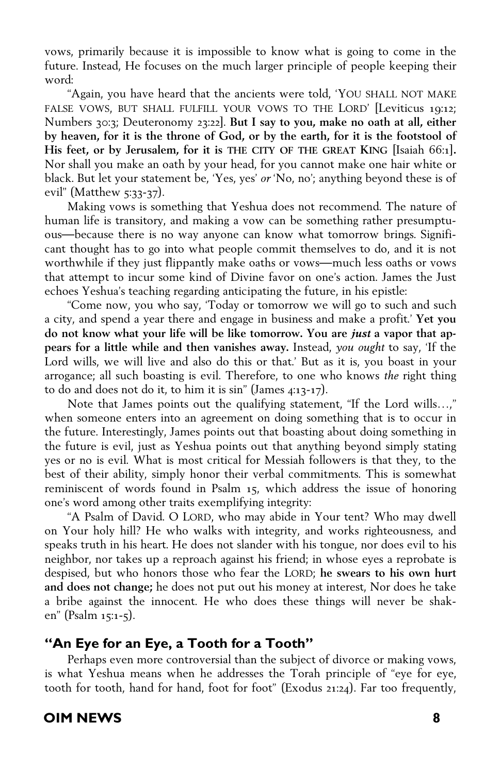vows, primarily because it is impossible to know what is going to come in the future. Instead, He focuses on the much larger principle of people keeping their word:

"Again, you have heard that the ancients were told, 'YOU SHALL NOT MAKE FALSE VOWS, BUT SHALL FULFILL YOUR VOWS TO THE LORD' [Leviticus 19:12; Numbers 30:3; Deuteronomy 23:22]. **But I say to you, make no oath at all, either by heaven, for it is the throne of God, or by the earth, for it is the footstool of His feet, or by Jerusalem, for it is THE CITY OF THE GREAT KING** [Isaiah 66:1]**.** Nor shall you make an oath by your head, for you cannot make one hair white or black. But let your statement be, 'Yes, yes' *or* 'No, no'; anything beyond these is of evil" (Matthew 5:33-37).

Making vows is something that Yeshua does not recommend. The nature of human life is transitory, and making a vow can be something rather presumptuous—because there is no way anyone can know what tomorrow brings. Significant thought has to go into what people commit themselves to do, and it is not worthwhile if they just flippantly make oaths or vows—much less oaths or vows that attempt to incur some kind of Divine favor on one's action. James the Just echoes Yeshua's teaching regarding anticipating the future, in his epistle:

"Come now, you who say, 'Today or tomorrow we will go to such and such a city, and spend a year there and engage in business and make a profit.' **Yet you do not know what your life will be like tomorrow. You are** *just* **a vapor that appears for a little while and then vanishes away.** Instead, *you ought* to say, 'If the Lord wills, we will live and also do this or that.' But as it is, you boast in your arrogance; all such boasting is evil. Therefore, to one who knows *the* right thing to do and does not do it, to him it is sin" (James 4:13-17).

Note that James points out the qualifying statement, "If the Lord wills…," when someone enters into an agreement on doing something that is to occur in the future. Interestingly, James points out that boasting about doing something in the future is evil, just as Yeshua points out that anything beyond simply stating yes or no is evil. What is most critical for Messiah followers is that they, to the best of their ability, simply honor their verbal commitments. This is somewhat reminiscent of words found in Psalm 15, which address the issue of honoring one's word among other traits exemplifying integrity:

"A Psalm of David. O LORD, who may abide in Your tent? Who may dwell on Your holy hill? He who walks with integrity, and works righteousness, and speaks truth in his heart. He does not slander with his tongue, nor does evil to his neighbor, nor takes up a reproach against his friend; in whose eyes a reprobate is despised, but who honors those who fear the LORD; **he swears to his own hurt and does not change;** he does not put out his money at interest, Nor does he take a bribe against the innocent. He who does these things will never be shaken" (Psalm 15:1-5).

#### **"An Eye for an Eye, a Tooth for a Tooth"**

Perhaps even more controversial than the subject of divorce or making vows, is what Yeshua means when he addresses the Torah principle of "eye for eye, tooth for tooth, hand for hand, foot for foot" (Exodus 21:24). Far too frequently,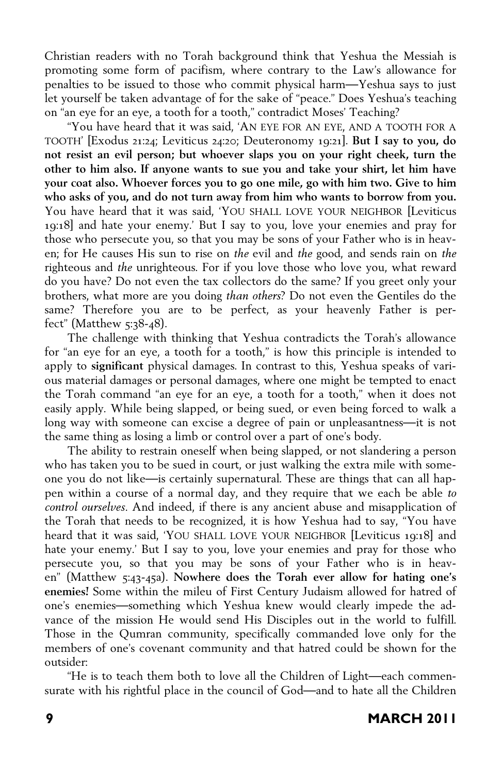Christian readers with no Torah background think that Yeshua the Messiah is promoting some form of pacifism, where contrary to the Law's allowance for penalties to be issued to those who commit physical harm—Yeshua says to just let yourself be taken advantage of for the sake of "peace." Does Yeshua's teaching on "an eye for an eye, a tooth for a tooth," contradict Moses' Teaching?

"You have heard that it was said, 'AN EYE FOR AN EYE, AND A TOOTH FOR A TOOTH' [Exodus 21:24; Leviticus 24:20; Deuteronomy 19:21]. **But I say to you, do not resist an evil person; but whoever slaps you on your right cheek, turn the other to him also. If anyone wants to sue you and take your shirt, let him have your coat also. Whoever forces you to go one mile, go with him two. Give to him who asks of you, and do not turn away from him who wants to borrow from you.** You have heard that it was said, 'YOU SHALL LOVE YOUR NEIGHBOR [Leviticus 19:18] and hate your enemy.' But I say to you, love your enemies and pray for those who persecute you, so that you may be sons of your Father who is in heaven; for He causes His sun to rise on *the* evil and *the* good, and sends rain on *the*  righteous and *the* unrighteous. For if you love those who love you, what reward do you have? Do not even the tax collectors do the same? If you greet only your brothers, what more are you doing *than others*? Do not even the Gentiles do the same? Therefore you are to be perfect, as your heavenly Father is perfect" (Matthew  $5:38-48$ ).

The challenge with thinking that Yeshua contradicts the Torah's allowance for "an eye for an eye, a tooth for a tooth," is how this principle is intended to apply to **significant** physical damages. In contrast to this, Yeshua speaks of various material damages or personal damages, where one might be tempted to enact the Torah command "an eye for an eye, a tooth for a tooth," when it does not easily apply. While being slapped, or being sued, or even being forced to walk a long way with someone can excise a degree of pain or unpleasantness—it is not the same thing as losing a limb or control over a part of one's body.

The ability to restrain oneself when being slapped, or not slandering a person who has taken you to be sued in court, or just walking the extra mile with someone you do not like—is certainly supernatural. These are things that can all happen within a course of a normal day, and they require that we each be able *to control ourselves.* And indeed, if there is any ancient abuse and misapplication of the Torah that needs to be recognized, it is how Yeshua had to say, "You have heard that it was said, 'YOU SHALL LOVE YOUR NEIGHBOR [Leviticus 19:18] and hate your enemy.' But I say to you, love your enemies and pray for those who persecute you, so that you may be sons of your Father who is in heaven" (Matthew 5:43-45a). **Nowhere does the Torah ever allow for hating one's enemies!** Some within the mileu of First Century Judaism allowed for hatred of one's enemies—something which Yeshua knew would clearly impede the advance of the mission He would send His Disciples out in the world to fulfill. Those in the Qumran community, specifically commanded love only for the members of one's covenant community and that hatred could be shown for the outsider:

"He is to teach them both to love all the Children of Light—each commensurate with his rightful place in the council of God—and to hate all the Children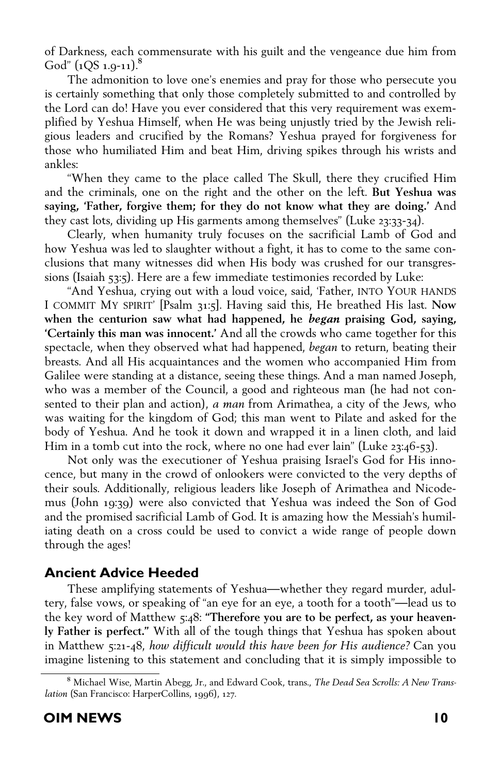of Darkness, each commensurate with his guilt and the vengeance due him from God" (1QS 1.9-11).**<sup>8</sup>**

The admonition to love one's enemies and pray for those who persecute you is certainly something that only those completely submitted to and controlled by the Lord can do! Have you ever considered that this very requirement was exemplified by Yeshua Himself, when He was being unjustly tried by the Jewish religious leaders and crucified by the Romans? Yeshua prayed for forgiveness for those who humiliated Him and beat Him, driving spikes through his wrists and ankles:

"When they came to the place called The Skull, there they crucified Him and the criminals, one on the right and the other on the left. **But Yeshua was saying, 'Father, forgive them; for they do not know what they are doing.'** And they cast lots, dividing up His garments among themselves" (Luke 23:33-34).

Clearly, when humanity truly focuses on the sacrificial Lamb of God and how Yeshua was led to slaughter without a fight, it has to come to the same conclusions that many witnesses did when His body was crushed for our transgressions (Isaiah 53:5). Here are a few immediate testimonies recorded by Luke:

"And Yeshua, crying out with a loud voice, said, 'Father, INTO YOUR HANDS I COMMIT MY SPIRIT' [Psalm 31:5]. Having said this, He breathed His last. **Now when the centurion saw what had happened, he** *began* **praising God, saying, 'Certainly this man was innocent.'** And all the crowds who came together for this spectacle, when they observed what had happened, *began* to return, beating their breasts. And all His acquaintances and the women who accompanied Him from Galilee were standing at a distance, seeing these things. And a man named Joseph, who was a member of the Council, a good and righteous man (he had not consented to their plan and action), *a man* from Arimathea, a city of the Jews, who was waiting for the kingdom of God; this man went to Pilate and asked for the body of Yeshua. And he took it down and wrapped it in a linen cloth, and laid Him in a tomb cut into the rock, where no one had ever lain" (Luke 23:46-53).

Not only was the executioner of Yeshua praising Israel's God for His innocence, but many in the crowd of onlookers were convicted to the very depths of their souls. Additionally, religious leaders like Joseph of Arimathea and Nicodemus (John 19:39) were also convicted that Yeshua was indeed the Son of God and the promised sacrificial Lamb of God. It is amazing how the Messiah's humiliating death on a cross could be used to convict a wide range of people down through the ages!

#### **Ancient Advice Heeded**

These amplifying statements of Yeshua—whether they regard murder, adultery, false vows, or speaking of "an eye for an eye, a tooth for a tooth"—lead us to the key word of Matthew 5:48: **"Therefore you are to be perfect, as your heavenly Father is perfect."** With all of the tough things that Yeshua has spoken about in Matthew 5:21-48, *how difficult would this have been for His audience?* Can you imagine listening to this statement and concluding that it is simply impossible to

**<sup>8</sup>** Michael Wise, Martin Abegg, Jr., and Edward Cook, trans., *The Dead Sea Scrolls: A New Translation* (San Francisco: HarperCollins, 1996), 127.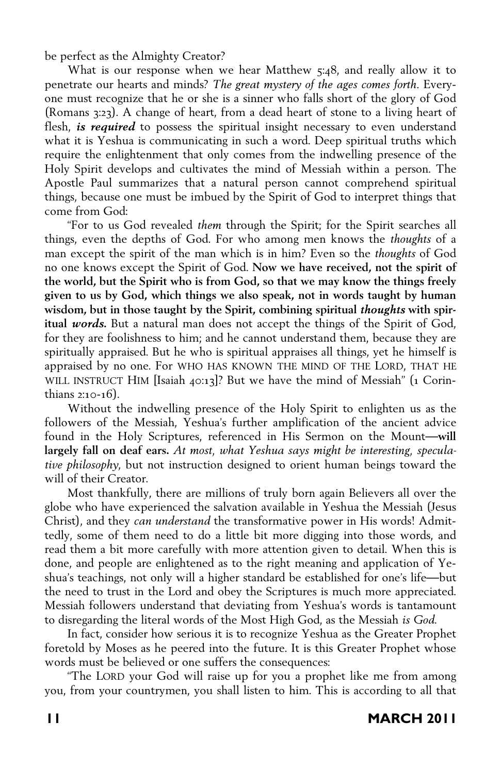be perfect as the Almighty Creator?

What is our response when we hear Matthew 5:48, and really allow it to penetrate our hearts and minds? *The great mystery of the ages comes forth.* Everyone must recognize that he or she is a sinner who falls short of the glory of God (Romans 3:23). A change of heart, from a dead heart of stone to a living heart of flesh, *is required* to possess the spiritual insight necessary to even understand what it is Yeshua is communicating in such a word. Deep spiritual truths which require the enlightenment that only comes from the indwelling presence of the Holy Spirit develops and cultivates the mind of Messiah within a person. The Apostle Paul summarizes that a natural person cannot comprehend spiritual things, because one must be imbued by the Spirit of God to interpret things that come from God:

"For to us God revealed *them* through the Spirit; for the Spirit searches all things, even the depths of God. For who among men knows the *thoughts* of a man except the spirit of the man which is in him? Even so the *thoughts* of God no one knows except the Spirit of God. **Now we have received, not the spirit of the world, but the Spirit who is from God, so that we may know the things freely given to us by God, which things we also speak, not in words taught by human wisdom, but in those taught by the Spirit, combining spiritual** *thoughts* **with spiritual** *words***.** But a natural man does not accept the things of the Spirit of God, for they are foolishness to him; and he cannot understand them, because they are spiritually appraised. But he who is spiritual appraises all things, yet he himself is appraised by no one. For WHO HAS KNOWN THE MIND OF THE LORD, THAT HE WILL INSTRUCT HIM [Isaiah 40:13]? But we have the mind of Messiah" (1 Corinthians 2:10-16).

Without the indwelling presence of the Holy Spirit to enlighten us as the followers of the Messiah, Yeshua's further amplification of the ancient advice found in the Holy Scriptures, referenced in His Sermon on the Mount—**will largely fall on deaf ears.** *At most, what Yeshua says might be interesting, speculative philosophy*, but not instruction designed to orient human beings toward the will of their Creator.

Most thankfully, there are millions of truly born again Believers all over the globe who have experienced the salvation available in Yeshua the Messiah (Jesus Christ), and they *can understand* the transformative power in His words! Admittedly, some of them need to do a little bit more digging into those words, and read them a bit more carefully with more attention given to detail. When this is done, and people are enlightened as to the right meaning and application of Yeshua's teachings, not only will a higher standard be established for one's life—but the need to trust in the Lord and obey the Scriptures is much more appreciated. Messiah followers understand that deviating from Yeshua's words is tantamount to disregarding the literal words of the Most High God, as the Messiah *is God*.

In fact, consider how serious it is to recognize Yeshua as the Greater Prophet foretold by Moses as he peered into the future. It is this Greater Prophet whose words must be believed or one suffers the consequences:

"The LORD your God will raise up for you a prophet like me from among you, from your countrymen, you shall listen to him. This is according to all that